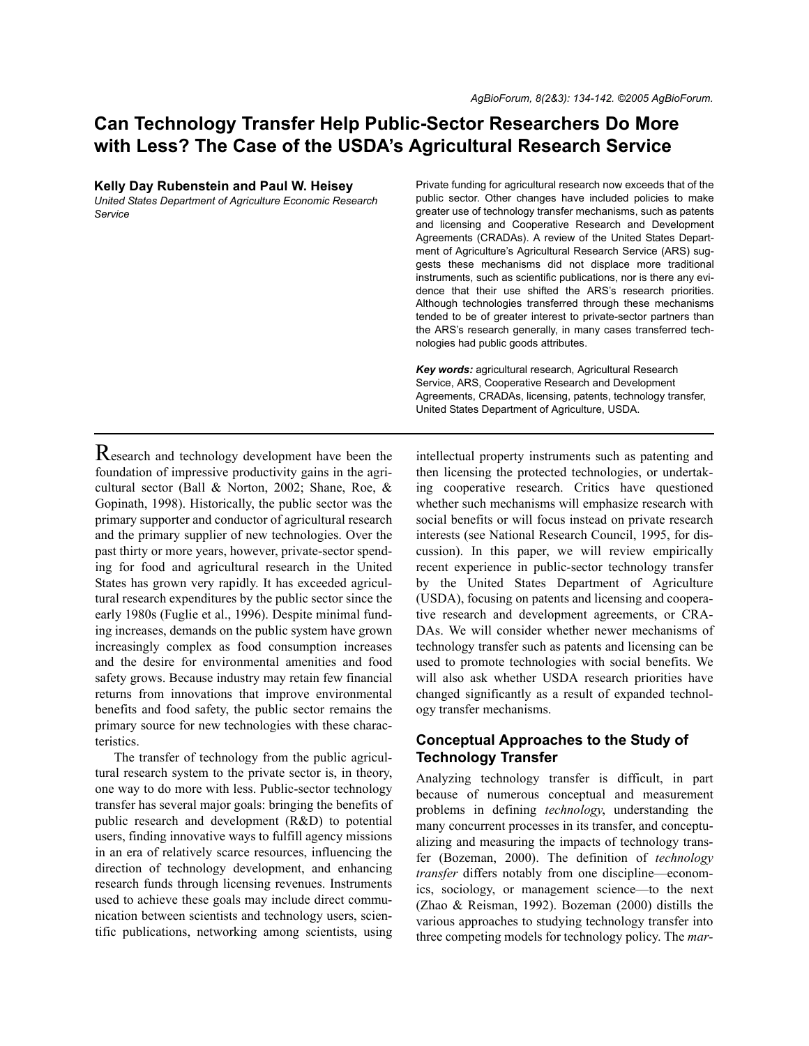# **Can Technology Transfer Help Public-Sector Researchers Do More with Less? The Case of the USDA's Agricultural Research Service**

| <b>INCITY Day Napolistoni and I adi W. Holsey</b>         |
|-----------------------------------------------------------|
| United States Department of Agriculture Economic Research |
| Service                                                   |

**Kelly Day Rubenstein and Paul W. Heisey**

Private funding for agricultural research now exceeds that of the public sector. Other changes have included policies to make greater use of technology transfer mechanisms, such as patents and licensing and Cooperative Research and Development Agreements (CRADAs). A review of the United States Department of Agriculture's Agricultural Research Service (ARS) suggests these mechanisms did not displace more traditional instruments, such as scientific publications, nor is there any evidence that their use shifted the ARS's research priorities. Although technologies transferred through these mechanisms tended to be of greater interest to private-sector partners than the ARS's research generally, in many cases transferred technologies had public goods attributes.

*Key words:* agricultural research, Agricultural Research Service, ARS, Cooperative Research and Development Agreements, CRADAs, licensing, patents, technology transfer, United States Department of Agriculture, USDA.

Research and technology development have been the foundation of impressive productivity gains in the agricultural sector (Ball & Norton, 2002; Shane, Roe, & Gopinath, 1998). Historically, the public sector was the primary supporter and conductor of agricultural research and the primary supplier of new technologies. Over the past thirty or more years, however, private-sector spending for food and agricultural research in the United States has grown very rapidly. It has exceeded agricultural research expenditures by the public sector since the early 1980s (Fuglie et al., 1996). Despite minimal funding increases, demands on the public system have grown increasingly complex as food consumption increases and the desire for environmental amenities and food safety grows. Because industry may retain few financial returns from innovations that improve environmental benefits and food safety, the public sector remains the primary source for new technologies with these characteristics.

The transfer of technology from the public agricultural research system to the private sector is, in theory, one way to do more with less. Public-sector technology transfer has several major goals: bringing the benefits of public research and development (R&D) to potential users, finding innovative ways to fulfill agency missions in an era of relatively scarce resources, influencing the direction of technology development, and enhancing research funds through licensing revenues. Instruments used to achieve these goals may include direct communication between scientists and technology users, scientific publications, networking among scientists, using

intellectual property instruments such as patenting and then licensing the protected technologies, or undertaking cooperative research. Critics have questioned whether such mechanisms will emphasize research with social benefits or will focus instead on private research interests (see National Research Council, 1995, for discussion). In this paper, we will review empirically recent experience in public-sector technology transfer by the United States Department of Agriculture (USDA), focusing on patents and licensing and cooperative research and development agreements, or CRA-DAs. We will consider whether newer mechanisms of technology transfer such as patents and licensing can be used to promote technologies with social benefits. We will also ask whether USDA research priorities have changed significantly as a result of expanded technology transfer mechanisms.

## **Conceptual Approaches to the Study of Technology Transfer**

Analyzing technology transfer is difficult, in part because of numerous conceptual and measurement problems in defining *technology*, understanding the many concurrent processes in its transfer, and conceptualizing and measuring the impacts of technology transfer (Bozeman, 2000). The definition of *technology transfer* differs notably from one discipline—economics, sociology, or management science—to the next (Zhao & Reisman, 1992). Bozeman (2000) distills the various approaches to studying technology transfer into three competing models for technology policy. The *mar-*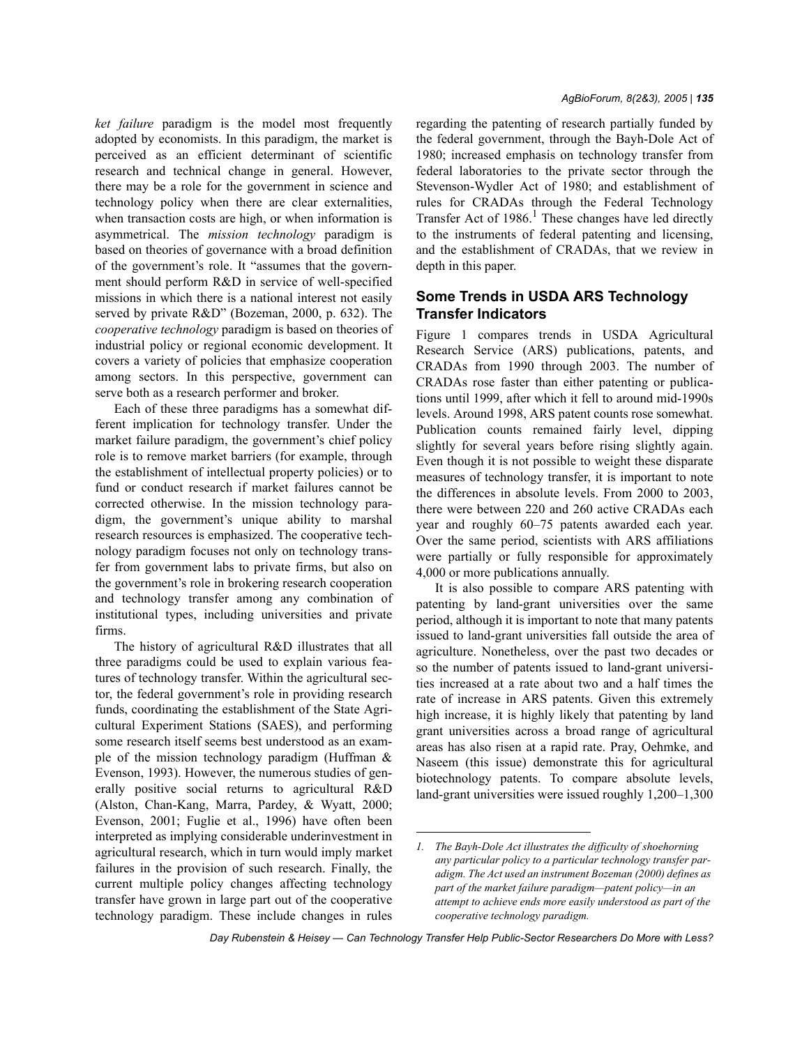*ket failure* paradigm is the model most frequently adopted by economists. In this paradigm, the market is perceived as an efficient determinant of scientific research and technical change in general. However, there may be a role for the government in science and technology policy when there are clear externalities, when transaction costs are high, or when information is asymmetrical. The *mission technology* paradigm is based on theories of governance with a broad definition of the government's role. It "assumes that the government should perform R&D in service of well-specified missions in which there is a national interest not easily served by private R&D" (Bozeman, 2000, p. 632). The *cooperative technology* paradigm is based on theories of industrial policy or regional economic development. It covers a variety of policies that emphasize cooperation among sectors. In this perspective, government can serve both as a research performer and broker.

Each of these three paradigms has a somewhat different implication for technology transfer. Under the market failure paradigm, the government's chief policy role is to remove market barriers (for example, through the establishment of intellectual property policies) or to fund or conduct research if market failures cannot be corrected otherwise. In the mission technology paradigm, the government's unique ability to marshal research resources is emphasized. The cooperative technology paradigm focuses not only on technology transfer from government labs to private firms, but also on the government's role in brokering research cooperation and technology transfer among any combination of institutional types, including universities and private firms.

The history of agricultural R&D illustrates that all three paradigms could be used to explain various features of technology transfer. Within the agricultural sector, the federal government's role in providing research funds, coordinating the establishment of the State Agricultural Experiment Stations (SAES), and performing some research itself seems best understood as an example of the mission technology paradigm (Huffman & Evenson, 1993). However, the numerous studies of generally positive social returns to agricultural R&D (Alston, Chan-Kang, Marra, Pardey, & Wyatt, 2000; Evenson, 2001; Fuglie et al., 1996) have often been interpreted as implying considerable underinvestment in agricultural research, which in turn would imply market failures in the provision of such research. Finally, the current multiple policy changes affecting technology transfer have grown in large part out of the cooperative technology paradigm. These include changes in rules regarding the patenting of research partially funded by the federal government, through the Bayh-Dole Act of 1980; increased emphasis on technology transfer from federal laboratories to the private sector through the Stevenson-Wydler Act of 1980; and establishment of rules for CRADAs through the Federal Technology Transfer Act of  $1986$ .<sup>1</sup> These changes have led directly to the instruments of federal patenting and licensing, and the establishment of CRADAs, that we review in depth in this paper.

# **Some Trends in USDA ARS Technology Transfer Indicators**

Figure 1 compares trends in USDA Agricultural Research Service (ARS) publications, patents, and CRADAs from 1990 through 2003. The number of CRADAs rose faster than either patenting or publications until 1999, after which it fell to around mid-1990s levels. Around 1998, ARS patent counts rose somewhat. Publication counts remained fairly level, dipping slightly for several years before rising slightly again. Even though it is not possible to weight these disparate measures of technology transfer, it is important to note the differences in absolute levels. From 2000 to 2003, there were between 220 and 260 active CRADAs each year and roughly 60–75 patents awarded each year. Over the same period, scientists with ARS affiliations were partially or fully responsible for approximately 4,000 or more publications annually.

It is also possible to compare ARS patenting with patenting by land-grant universities over the same period, although it is important to note that many patents issued to land-grant universities fall outside the area of agriculture. Nonetheless, over the past two decades or so the number of patents issued to land-grant universities increased at a rate about two and a half times the rate of increase in ARS patents. Given this extremely high increase, it is highly likely that patenting by land grant universities across a broad range of agricultural areas has also risen at a rapid rate. Pray, Oehmke, and Naseem (this issue) demonstrate this for agricultural biotechnology patents. To compare absolute levels, land-grant universities were issued roughly 1,200–1,300

*<sup>1.</sup> The Bayh-Dole Act illustrates the difficulty of shoehorning any particular policy to a particular technology transfer paradigm. The Act used an instrument Bozeman (2000) defines as part of the market failure paradigm—patent policy—in an attempt to achieve ends more easily understood as part of the cooperative technology paradigm.*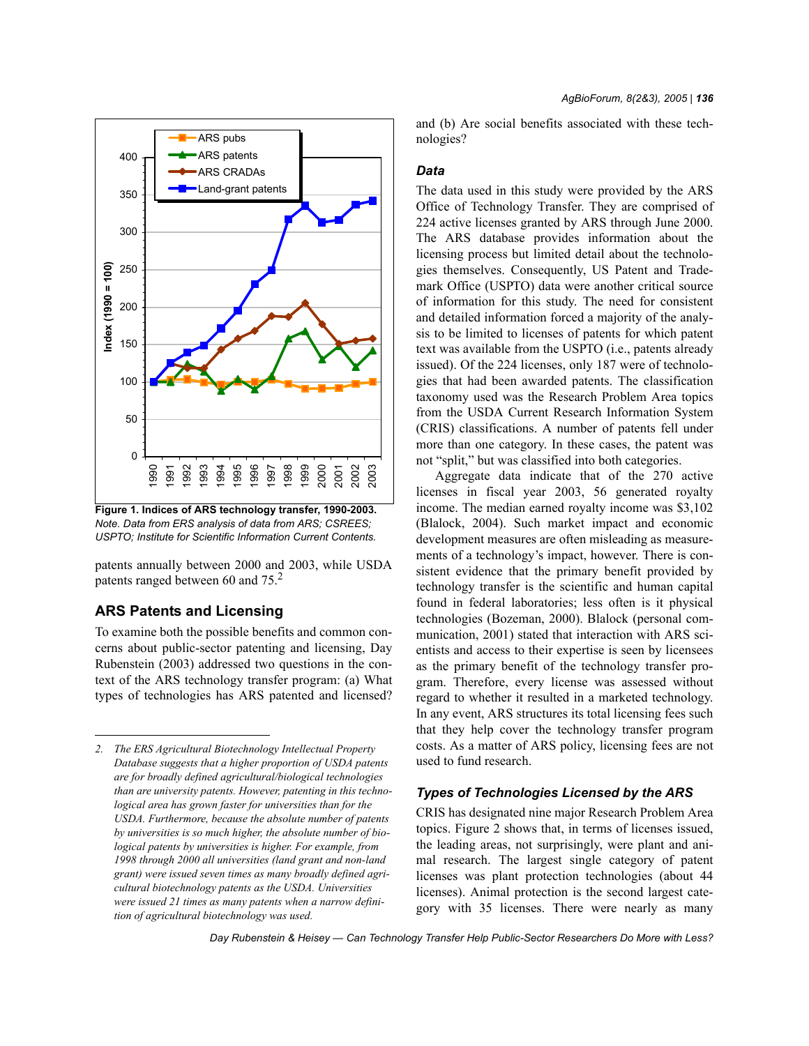

**Figure 1. Indices of ARS technology transfer, 1990-2003.** *Note. Data from ERS analysis of data from ARS; CSREES; USPTO; Institute for Scientific Information Current Contents.*

patents annually between 2000 and 2003, while USDA patents ranged between 60 and 75.<sup>2</sup>

# **ARS Patents and Licensing**

To examine both the possible benefits and common concerns about public-sector patenting and licensing, Day Rubenstein (2003) addressed two questions in the context of the ARS technology transfer program: (a) What types of technologies has ARS patented and licensed? and (b) Are social benefits associated with these technologies?

#### *Data*

The data used in this study were provided by the ARS Office of Technology Transfer. They are comprised of 224 active licenses granted by ARS through June 2000. The ARS database provides information about the licensing process but limited detail about the technologies themselves. Consequently, US Patent and Trademark Office (USPTO) data were another critical source of information for this study. The need for consistent and detailed information forced a majority of the analysis to be limited to licenses of patents for which patent text was available from the USPTO (i.e., patents already issued). Of the 224 licenses, only 187 were of technologies that had been awarded patents. The classification taxonomy used was the Research Problem Area topics from the USDA Current Research Information System (CRIS) classifications. A number of patents fell under more than one category. In these cases, the patent was not "split," but was classified into both categories.

Aggregate data indicate that of the 270 active licenses in fiscal year 2003, 56 generated royalty income. The median earned royalty income was \$3,102 (Blalock, 2004). Such market impact and economic development measures are often misleading as measurements of a technology's impact, however. There is consistent evidence that the primary benefit provided by technology transfer is the scientific and human capital found in federal laboratories; less often is it physical technologies (Bozeman, 2000). Blalock (personal communication, 2001) stated that interaction with ARS scientists and access to their expertise is seen by licensees as the primary benefit of the technology transfer program. Therefore, every license was assessed without regard to whether it resulted in a marketed technology. In any event, ARS structures its total licensing fees such that they help cover the technology transfer program costs. As a matter of ARS policy, licensing fees are not used to fund research.

## *Types of Technologies Licensed by the ARS*

CRIS has designated nine major Research Problem Area topics. Figure 2 shows that, in terms of licenses issued, the leading areas, not surprisingly, were plant and animal research. The largest single category of patent licenses was plant protection technologies (about 44 licenses). Animal protection is the second largest category with 35 licenses. There were nearly as many

*<sup>2.</sup> The ERS Agricultural Biotechnology Intellectual Property Database suggests that a higher proportion of USDA patents are for broadly defined agricultural/biological technologies than are university patents. However, patenting in this technological area has grown faster for universities than for the USDA. Furthermore, because the absolute number of patents by universities is so much higher, the absolute number of biological patents by universities is higher. For example, from 1998 through 2000 all universities (land grant and non-land grant) were issued seven times as many broadly defined agricultural biotechnology patents as the USDA. Universities were issued 21 times as many patents when a narrow definition of agricultural biotechnology was used.*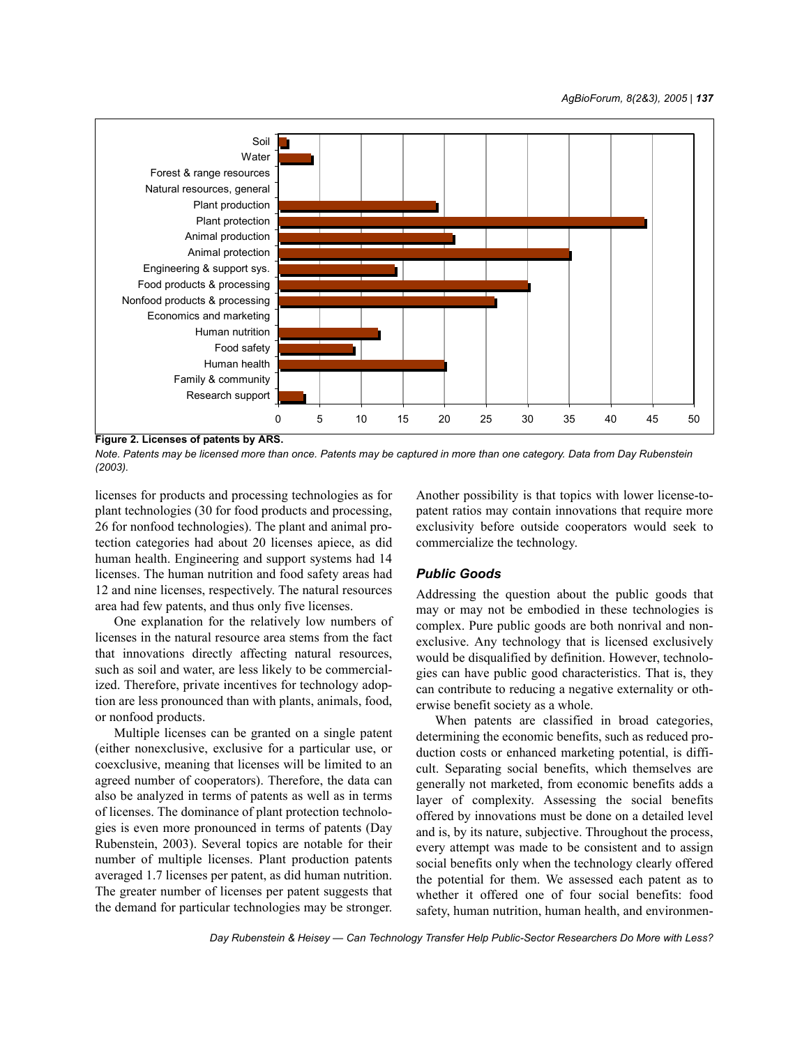

**Figure 2. Licenses of patents by ARS.**

*Note. Patents may be licensed more than once. Patents may be captured in more than one category. Data from Day Rubenstein (2003).*

licenses for products and processing technologies as for plant technologies (30 for food products and processing, 26 for nonfood technologies). The plant and animal protection categories had about 20 licenses apiece, as did human health. Engineering and support systems had 14 licenses. The human nutrition and food safety areas had 12 and nine licenses, respectively. The natural resources area had few patents, and thus only five licenses.

One explanation for the relatively low numbers of licenses in the natural resource area stems from the fact that innovations directly affecting natural resources, such as soil and water, are less likely to be commercialized. Therefore, private incentives for technology adoption are less pronounced than with plants, animals, food, or nonfood products.

Multiple licenses can be granted on a single patent (either nonexclusive, exclusive for a particular use, or coexclusive, meaning that licenses will be limited to an agreed number of cooperators). Therefore, the data can also be analyzed in terms of patents as well as in terms of licenses. The dominance of plant protection technologies is even more pronounced in terms of patents (Day Rubenstein, 2003). Several topics are notable for their number of multiple licenses. Plant production patents averaged 1.7 licenses per patent, as did human nutrition. The greater number of licenses per patent suggests that the demand for particular technologies may be stronger. Another possibility is that topics with lower license-topatent ratios may contain innovations that require more exclusivity before outside cooperators would seek to commercialize the technology.

## *Public Goods*

Addressing the question about the public goods that may or may not be embodied in these technologies is complex. Pure public goods are both nonrival and nonexclusive. Any technology that is licensed exclusively would be disqualified by definition. However, technologies can have public good characteristics. That is, they can contribute to reducing a negative externality or otherwise benefit society as a whole.

When patents are classified in broad categories, determining the economic benefits, such as reduced production costs or enhanced marketing potential, is difficult. Separating social benefits, which themselves are generally not marketed, from economic benefits adds a layer of complexity. Assessing the social benefits offered by innovations must be done on a detailed level and is, by its nature, subjective. Throughout the process, every attempt was made to be consistent and to assign social benefits only when the technology clearly offered the potential for them. We assessed each patent as to whether it offered one of four social benefits: food safety, human nutrition, human health, and environmen-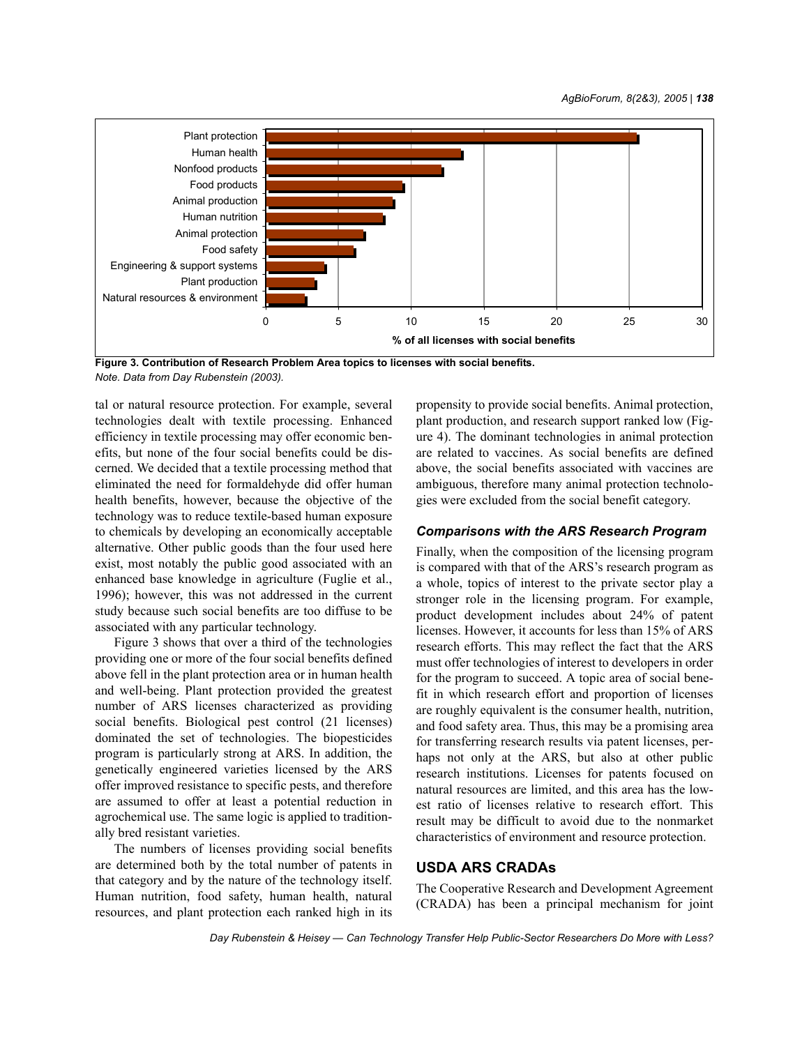

**Figure 3. Contribution of Research Problem Area topics to licenses with social benefits.** *Note. Data from Day Rubenstein (2003).*

tal or natural resource protection. For example, several technologies dealt with textile processing. Enhanced efficiency in textile processing may offer economic benefits, but none of the four social benefits could be discerned. We decided that a textile processing method that eliminated the need for formaldehyde did offer human health benefits, however, because the objective of the technology was to reduce textile-based human exposure to chemicals by developing an economically acceptable alternative. Other public goods than the four used here exist, most notably the public good associated with an enhanced base knowledge in agriculture (Fuglie et al., 1996); however, this was not addressed in the current study because such social benefits are too diffuse to be associated with any particular technology.

Figure 3 shows that over a third of the technologies providing one or more of the four social benefits defined above fell in the plant protection area or in human health and well-being. Plant protection provided the greatest number of ARS licenses characterized as providing social benefits. Biological pest control (21 licenses) dominated the set of technologies. The biopesticides program is particularly strong at ARS. In addition, the genetically engineered varieties licensed by the ARS offer improved resistance to specific pests, and therefore are assumed to offer at least a potential reduction in agrochemical use. The same logic is applied to traditionally bred resistant varieties.

The numbers of licenses providing social benefits are determined both by the total number of patents in that category and by the nature of the technology itself. Human nutrition, food safety, human health, natural resources, and plant protection each ranked high in its propensity to provide social benefits. Animal protection, plant production, and research support ranked low (Figure 4). The dominant technologies in animal protection are related to vaccines. As social benefits are defined above, the social benefits associated with vaccines are ambiguous, therefore many animal protection technologies were excluded from the social benefit category.

### *Comparisons with the ARS Research Program*

Finally, when the composition of the licensing program is compared with that of the ARS's research program as a whole, topics of interest to the private sector play a stronger role in the licensing program. For example, product development includes about 24% of patent licenses. However, it accounts for less than 15% of ARS research efforts. This may reflect the fact that the ARS must offer technologies of interest to developers in order for the program to succeed. A topic area of social benefit in which research effort and proportion of licenses are roughly equivalent is the consumer health, nutrition, and food safety area. Thus, this may be a promising area for transferring research results via patent licenses, perhaps not only at the ARS, but also at other public research institutions. Licenses for patents focused on natural resources are limited, and this area has the lowest ratio of licenses relative to research effort. This result may be difficult to avoid due to the nonmarket characteristics of environment and resource protection.

#### **USDA ARS CRADAs**

The Cooperative Research and Development Agreement (CRADA) has been a principal mechanism for joint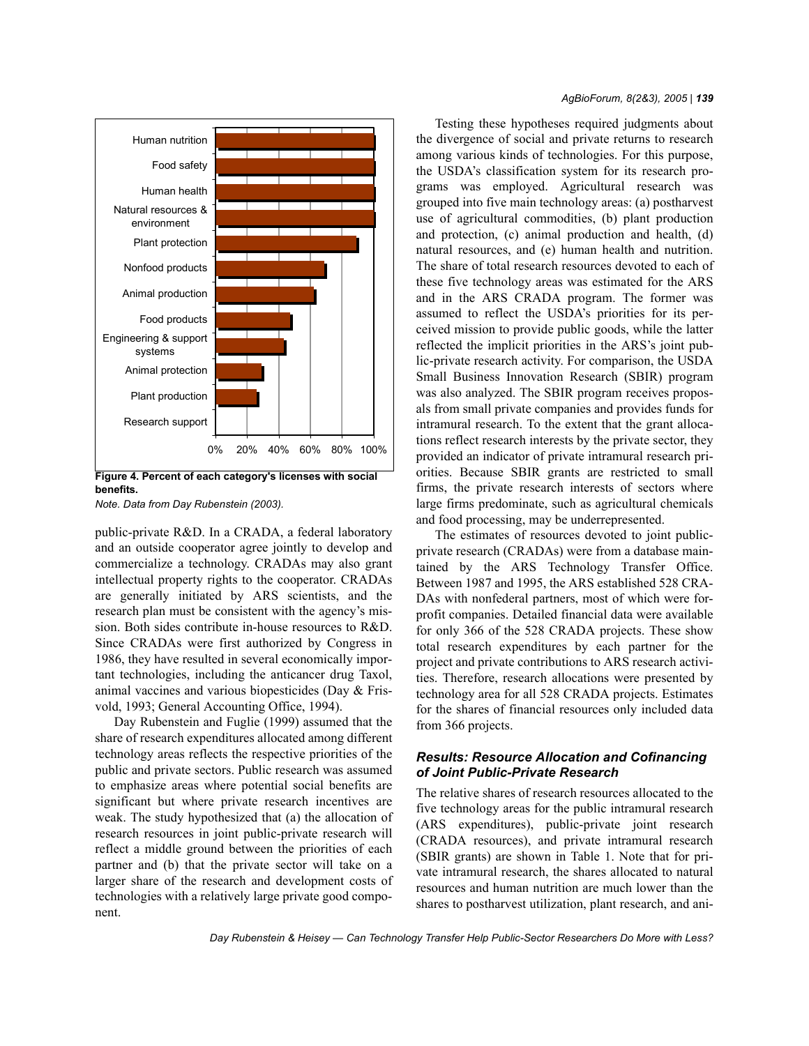

**benefits.**

*Note. Data from Day Rubenstein (2003).*

public-private R&D. In a CRADA, a federal laboratory and an outside cooperator agree jointly to develop and commercialize a technology. CRADAs may also grant intellectual property rights to the cooperator. CRADAs are generally initiated by ARS scientists, and the research plan must be consistent with the agency's mission. Both sides contribute in-house resources to R&D. Since CRADAs were first authorized by Congress in 1986, they have resulted in several economically important technologies, including the anticancer drug Taxol, animal vaccines and various biopesticides (Day & Frisvold, 1993; General Accounting Office, 1994).

Day Rubenstein and Fuglie (1999) assumed that the share of research expenditures allocated among different technology areas reflects the respective priorities of the public and private sectors. Public research was assumed to emphasize areas where potential social benefits are significant but where private research incentives are weak. The study hypothesized that (a) the allocation of research resources in joint public-private research will reflect a middle ground between the priorities of each partner and (b) that the private sector will take on a larger share of the research and development costs of technologies with a relatively large private good component.

Testing these hypotheses required judgments about the divergence of social and private returns to research among various kinds of technologies. For this purpose, the USDA's classification system for its research programs was employed. Agricultural research was grouped into five main technology areas: (a) postharvest use of agricultural commodities, (b) plant production and protection, (c) animal production and health, (d) natural resources, and (e) human health and nutrition. The share of total research resources devoted to each of these five technology areas was estimated for the ARS and in the ARS CRADA program. The former was assumed to reflect the USDA's priorities for its perceived mission to provide public goods, while the latter reflected the implicit priorities in the ARS's joint public-private research activity. For comparison, the USDA Small Business Innovation Research (SBIR) program was also analyzed. The SBIR program receives proposals from small private companies and provides funds for intramural research. To the extent that the grant allocations reflect research interests by the private sector, they provided an indicator of private intramural research priorities. Because SBIR grants are restricted to small firms, the private research interests of sectors where large firms predominate, such as agricultural chemicals and food processing, may be underrepresented.

The estimates of resources devoted to joint publicprivate research (CRADAs) were from a database maintained by the ARS Technology Transfer Office. Between 1987 and 1995, the ARS established 528 CRA-DAs with nonfederal partners, most of which were forprofit companies. Detailed financial data were available for only 366 of the 528 CRADA projects. These show total research expenditures by each partner for the project and private contributions to ARS research activities. Therefore, research allocations were presented by technology area for all 528 CRADA projects. Estimates for the shares of financial resources only included data from 366 projects.

## *Results: Resource Allocation and Cofinancing of Joint Public-Private Research*

The relative shares of research resources allocated to the five technology areas for the public intramural research (ARS expenditures), public-private joint research (CRADA resources), and private intramural research (SBIR grants) are shown in Table 1. Note that for private intramural research, the shares allocated to natural resources and human nutrition are much lower than the shares to postharvest utilization, plant research, and ani-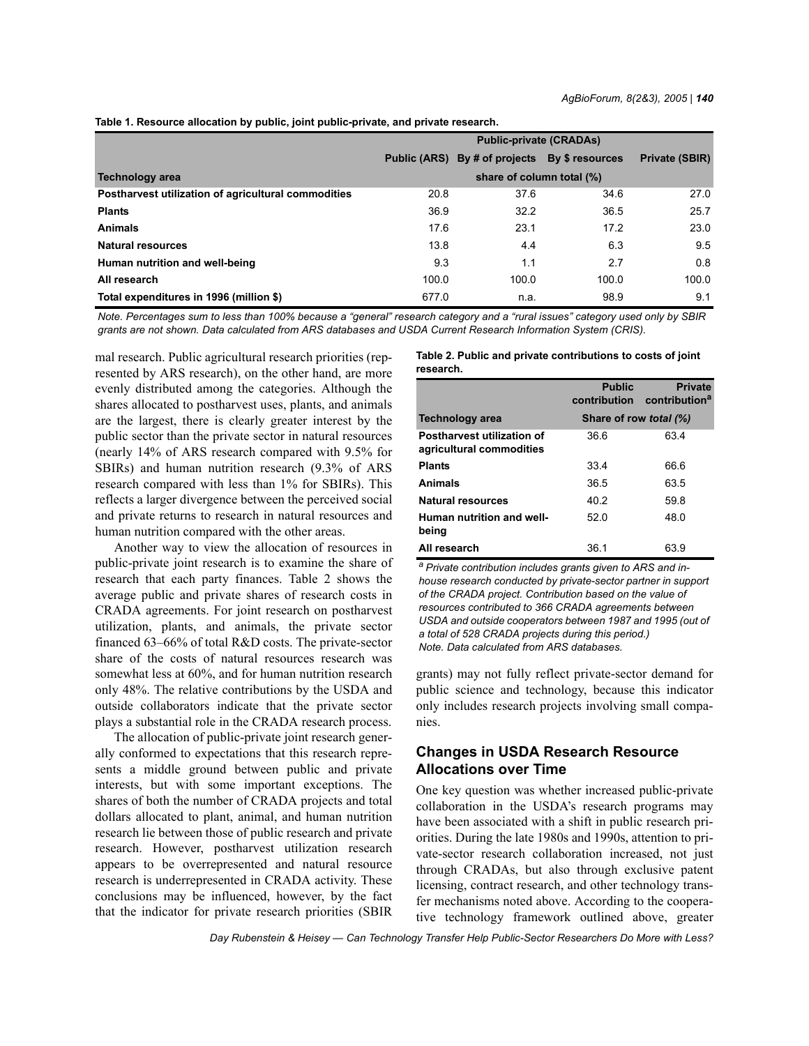|  | Table 1. Resource allocation by public, joint public-private, and private research. |  |  |  |  |
|--|-------------------------------------------------------------------------------------|--|--|--|--|
|  |                                                                                     |  |  |  |  |

|                                                     | <b>Public-private (CRADAs)</b> |                                  |       |                       |  |  |
|-----------------------------------------------------|--------------------------------|----------------------------------|-------|-----------------------|--|--|
|                                                     | <b>Public (ARS)</b>            | By # of projects By \$ resources |       | <b>Private (SBIR)</b> |  |  |
| Technology area                                     | share of column total (%)      |                                  |       |                       |  |  |
| Postharvest utilization of agricultural commodities | 20.8                           | 37.6                             | 34.6  | 27.0                  |  |  |
| <b>Plants</b>                                       | 36.9                           | 32.2                             | 36.5  | 25.7                  |  |  |
| <b>Animals</b>                                      | 17.6                           | 23.1                             | 17.2  | 23.0                  |  |  |
| <b>Natural resources</b>                            | 13.8                           | 4.4                              | 6.3   | 9.5                   |  |  |
| Human nutrition and well-being                      | 9.3                            | 1.1                              | 2.7   | 0.8                   |  |  |
| All research                                        | 100.0                          | 100.0                            | 100.0 | 100.0                 |  |  |
| Total expenditures in 1996 (million \$)             | 677.0                          | n.a.                             | 98.9  | 9.1                   |  |  |

*Note. Percentages sum to less than 100% because a "general" research category and a "rural issues" category used only by SBIR grants are not shown. Data calculated from ARS databases and USDA Current Research Information System (CRIS).*

mal research. Public agricultural research priorities (represented by ARS research), on the other hand, are more evenly distributed among the categories. Although the shares allocated to postharvest uses, plants, and animals are the largest, there is clearly greater interest by the public sector than the private sector in natural resources (nearly 14% of ARS research compared with 9.5% for SBIRs) and human nutrition research (9.3% of ARS research compared with less than 1% for SBIRs). This reflects a larger divergence between the perceived social and private returns to research in natural resources and human nutrition compared with the other areas.

Another way to view the allocation of resources in public-private joint research is to examine the share of research that each party finances. Table 2 shows the average public and private shares of research costs in CRADA agreements. For joint research on postharvest utilization, plants, and animals, the private sector financed 63–66% of total R&D costs. The private-sector share of the costs of natural resources research was somewhat less at 60%, and for human nutrition research only 48%. The relative contributions by the USDA and outside collaborators indicate that the private sector plays a substantial role in the CRADA research process.

The allocation of public-private joint research generally conformed to expectations that this research represents a middle ground between public and private interests, but with some important exceptions. The shares of both the number of CRADA projects and total dollars allocated to plant, animal, and human nutrition research lie between those of public research and private research. However, postharvest utilization research appears to be overrepresented and natural resource research is underrepresented in CRADA activity. These conclusions may be influenced, however, by the fact that the indicator for private research priorities (SBIR **Table 2. Public and private contributions to costs of joint research.**

|                                                        | <b>Public</b><br>contribution | <b>Private</b><br>contribution <sup>a</sup> |  |  |
|--------------------------------------------------------|-------------------------------|---------------------------------------------|--|--|
| <b>Technology area</b>                                 | Share of row total (%)        |                                             |  |  |
| Postharvest utilization of<br>agricultural commodities | 36.6                          | 63.4                                        |  |  |
| <b>Plants</b>                                          | 33.4                          | 66.6                                        |  |  |
| <b>Animals</b>                                         | 36.5                          | 63.5                                        |  |  |
| <b>Natural resources</b>                               | 40.2                          | 59.8                                        |  |  |
| Human nutrition and well-<br>being                     | 520                           | 48.0                                        |  |  |
| All research                                           | 36.1                          | 63.9                                        |  |  |

*a Private contribution includes grants given to ARS and inhouse research conducted by private-sector partner in support of the CRADA project. Contribution based on the value of resources contributed to 366 CRADA agreements between USDA and outside cooperators between 1987 and 1995 (out of a total of 528 CRADA projects during this period.) Note. Data calculated from ARS databases.*

grants) may not fully reflect private-sector demand for public science and technology, because this indicator only includes research projects involving small companies.

# **Changes in USDA Research Resource Allocations over Time**

One key question was whether increased public-private collaboration in the USDA's research programs may have been associated with a shift in public research priorities. During the late 1980s and 1990s, attention to private-sector research collaboration increased, not just through CRADAs, but also through exclusive patent licensing, contract research, and other technology transfer mechanisms noted above. According to the cooperative technology framework outlined above, greater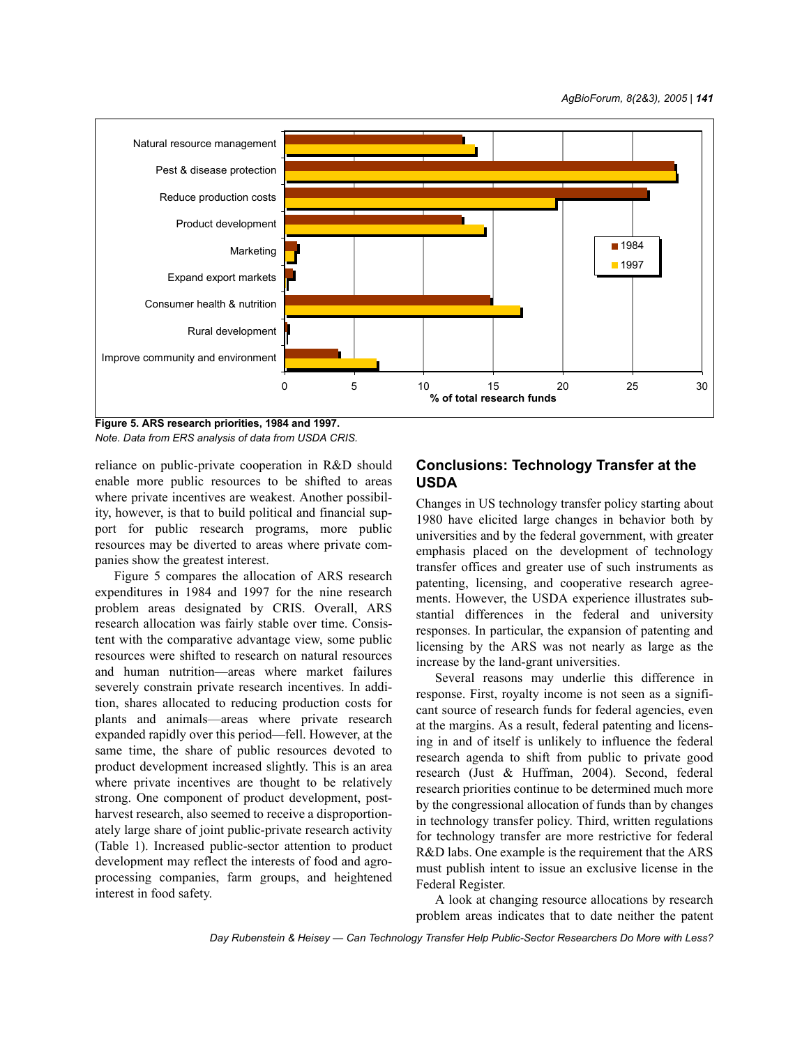

**Figure 5. ARS research priorities, 1984 and 1997.** *Note. Data from ERS analysis of data from USDA CRIS.*

reliance on public-private cooperation in R&D should enable more public resources to be shifted to areas where private incentives are weakest. Another possibility, however, is that to build political and financial support for public research programs, more public resources may be diverted to areas where private companies show the greatest interest.

Figure 5 compares the allocation of ARS research expenditures in 1984 and 1997 for the nine research problem areas designated by CRIS. Overall, ARS research allocation was fairly stable over time. Consistent with the comparative advantage view, some public resources were shifted to research on natural resources and human nutrition—areas where market failures severely constrain private research incentives. In addition, shares allocated to reducing production costs for plants and animals—areas where private research expanded rapidly over this period—fell. However, at the same time, the share of public resources devoted to product development increased slightly. This is an area where private incentives are thought to be relatively strong. One component of product development, postharvest research, also seemed to receive a disproportionately large share of joint public-private research activity (Table 1). Increased public-sector attention to product development may reflect the interests of food and agroprocessing companies, farm groups, and heightened interest in food safety.

# **Conclusions: Technology Transfer at the USDA**

Changes in US technology transfer policy starting about 1980 have elicited large changes in behavior both by universities and by the federal government, with greater emphasis placed on the development of technology transfer offices and greater use of such instruments as patenting, licensing, and cooperative research agreements. However, the USDA experience illustrates substantial differences in the federal and university responses. In particular, the expansion of patenting and licensing by the ARS was not nearly as large as the increase by the land-grant universities.

Several reasons may underlie this difference in response. First, royalty income is not seen as a significant source of research funds for federal agencies, even at the margins. As a result, federal patenting and licensing in and of itself is unlikely to influence the federal research agenda to shift from public to private good research (Just & Huffman, 2004). Second, federal research priorities continue to be determined much more by the congressional allocation of funds than by changes in technology transfer policy. Third, written regulations for technology transfer are more restrictive for federal R&D labs. One example is the requirement that the ARS must publish intent to issue an exclusive license in the Federal Register.

A look at changing resource allocations by research problem areas indicates that to date neither the patent